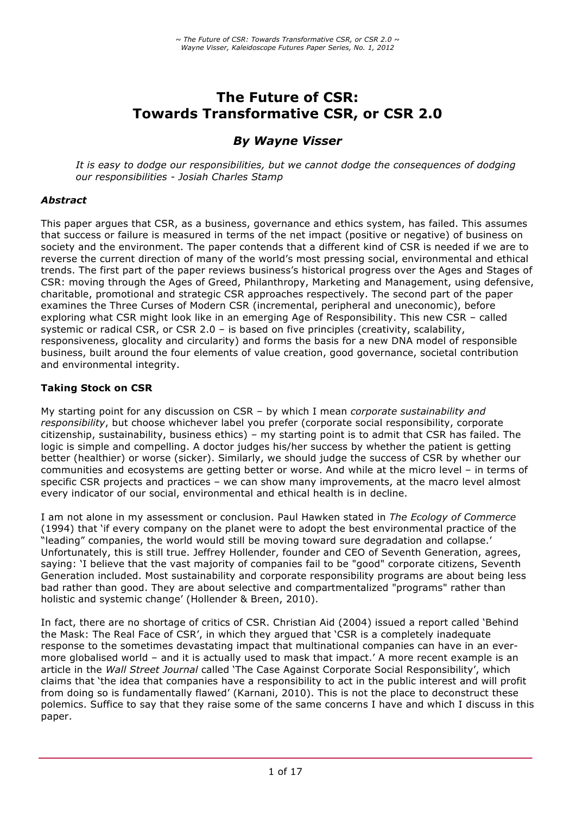# **The Future of CSR: Towards Transformative CSR, or CSR 2.0**

# *By Wayne Visser*

*It is easy to dodge our responsibilities, but we cannot dodge the consequences of dodging our responsibilities - Josiah Charles Stamp*

#### *Abstract*

This paper argues that CSR, as a business, governance and ethics system, has failed. This assumes that success or failure is measured in terms of the net impact (positive or negative) of business on society and the environment. The paper contends that a different kind of CSR is needed if we are to reverse the current direction of many of the world's most pressing social, environmental and ethical trends. The first part of the paper reviews business's historical progress over the Ages and Stages of CSR: moving through the Ages of Greed, Philanthropy, Marketing and Management, using defensive, charitable, promotional and strategic CSR approaches respectively. The second part of the paper examines the Three Curses of Modern CSR (incremental, peripheral and uneconomic), before exploring what CSR might look like in an emerging Age of Responsibility. This new CSR – called systemic or radical CSR, or CSR 2.0 – is based on five principles (creativity, scalability, responsiveness, glocality and circularity) and forms the basis for a new DNA model of responsible business, built around the four elements of value creation, good governance, societal contribution and environmental integrity.

#### **Taking Stock on CSR**

My starting point for any discussion on CSR – by which I mean *corporate sustainability and responsibility*, but choose whichever label you prefer (corporate social responsibility, corporate citizenship, sustainability, business ethics) – my starting point is to admit that CSR has failed. The logic is simple and compelling. A doctor judges his/her success by whether the patient is getting better (healthier) or worse (sicker). Similarly, we should judge the success of CSR by whether our communities and ecosystems are getting better or worse. And while at the micro level – in terms of specific CSR projects and practices – we can show many improvements, at the macro level almost every indicator of our social, environmental and ethical health is in decline.

I am not alone in my assessment or conclusion. Paul Hawken stated in *The Ecology of Commerce* (1994) that 'if every company on the planet were to adopt the best environmental practice of the "leading" companies, the world would still be moving toward sure degradation and collapse.' Unfortunately, this is still true. Jeffrey Hollender, founder and CEO of Seventh Generation, agrees, saying: 'I believe that the vast majority of companies fail to be "good" corporate citizens, Seventh Generation included. Most sustainability and corporate responsibility programs are about being less bad rather than good. They are about selective and compartmentalized "programs" rather than holistic and systemic change' (Hollender & Breen, 2010).

In fact, there are no shortage of critics of CSR. Christian Aid (2004) issued a report called 'Behind the Mask: The Real Face of CSR', in which they argued that 'CSR is a completely inadequate response to the sometimes devastating impact that multinational companies can have in an evermore globalised world – and it is actually used to mask that impact.' A more recent example is an article in the *Wall Street Journal* called 'The Case Against Corporate Social Responsibility', which claims that 'the idea that companies have a responsibility to act in the public interest and will profit from doing so is fundamentally flawed' (Karnani, 2010). This is not the place to deconstruct these polemics. Suffice to say that they raise some of the same concerns I have and which I discuss in this paper.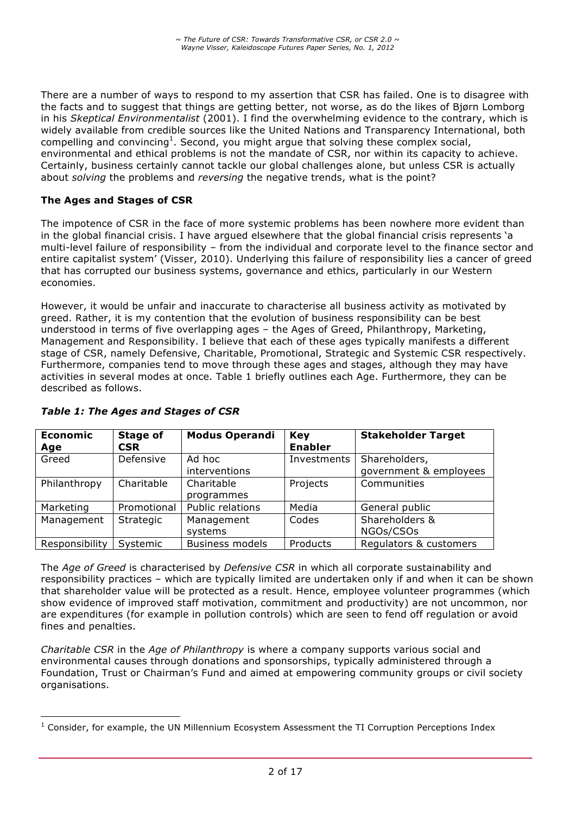There are a number of ways to respond to my assertion that CSR has failed. One is to disagree with the facts and to suggest that things are getting better, not worse, as do the likes of Bjørn Lomborg in his *Skeptical Environmentalist* (2001). I find the overwhelming evidence to the contrary, which is widely available from credible sources like the United Nations and Transparency International, both compelling and convincing<sup>1</sup>. Second, you might argue that solving these complex social, environmental and ethical problems is not the mandate of CSR, nor within its capacity to achieve. Certainly, business certainly cannot tackle our global challenges alone, but unless CSR is actually about *solving* the problems and *reversing* the negative trends, what is the point?

# **The Ages and Stages of CSR**

The impotence of CSR in the face of more systemic problems has been nowhere more evident than in the global financial crisis. I have argued elsewhere that the global financial crisis represents 'a multi-level failure of responsibility – from the individual and corporate level to the finance sector and entire capitalist system' (Visser, 2010). Underlying this failure of responsibility lies a cancer of greed that has corrupted our business systems, governance and ethics, particularly in our Western economies.

However, it would be unfair and inaccurate to characterise all business activity as motivated by greed. Rather, it is my contention that the evolution of business responsibility can be best understood in terms of five overlapping ages – the Ages of Greed, Philanthropy, Marketing, Management and Responsibility. I believe that each of these ages typically manifests a different stage of CSR, namely Defensive, Charitable, Promotional, Strategic and Systemic CSR respectively. Furthermore, companies tend to move through these ages and stages, although they may have activities in several modes at once. Table 1 briefly outlines each Age. Furthermore, they can be described as follows.

| <b>Economic</b><br>Age | <b>Stage of</b><br><b>CSR</b> | <b>Modus Operandi</b>                 | Key<br><b>Enabler</b>   | <b>Stakeholder Target</b> |
|------------------------|-------------------------------|---------------------------------------|-------------------------|---------------------------|
| Greed                  | Defensive                     | Ad hoc                                | Investments             | Shareholders,             |
|                        |                               | interventions                         |                         | government & employees    |
| Philanthropy           | Charitable                    | Charitable<br>Communities<br>Projects |                         |                           |
|                        |                               | programmes                            |                         |                           |
| Marketing              | Promotional                   | Public relations                      | Media                   | General public            |
| Management             | Strategic                     | Management                            | Shareholders &<br>Codes |                           |
|                        |                               | systems                               |                         | NGOs/CSOs                 |
| Responsibility         | Systemic                      | <b>Business models</b>                | Products                | Regulators & customers    |

# *Table 1: The Ages and Stages of CSR*

The *Age of Greed* is characterised by *Defensive CSR* in which all corporate sustainability and responsibility practices – which are typically limited are undertaken only if and when it can be shown that shareholder value will be protected as a result. Hence, employee volunteer programmes (which show evidence of improved staff motivation, commitment and productivity) are not uncommon, nor are expenditures (for example in pollution controls) which are seen to fend off regulation or avoid fines and penalties.

*Charitable CSR* in the *Age of Philanthropy* is where a company supports various social and environmental causes through donations and sponsorships, typically administered through a Foundation, Trust or Chairman's Fund and aimed at empowering community groups or civil society organisations.

<sup>1</sup>  $1$  Consider, for example, the UN Millennium Ecosystem Assessment the TI Corruption Perceptions Index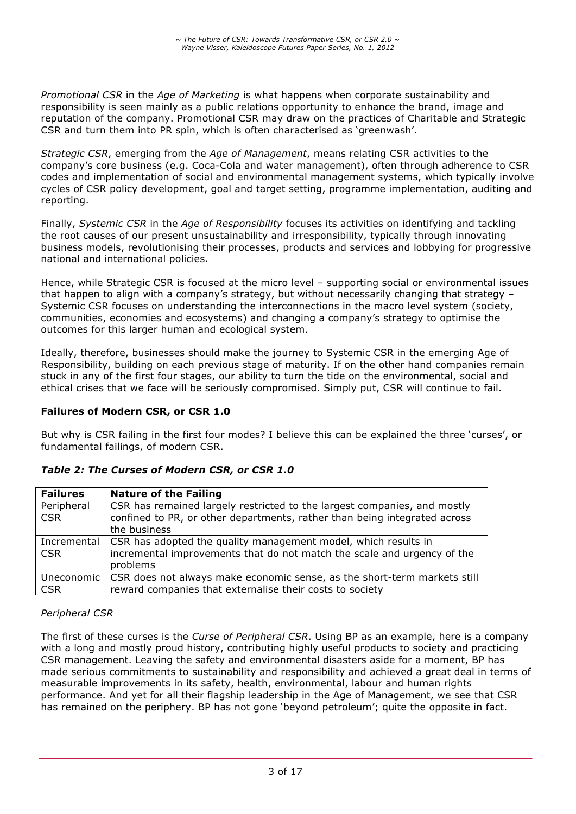*Promotional CSR* in the *Age of Marketing* is what happens when corporate sustainability and responsibility is seen mainly as a public relations opportunity to enhance the brand, image and reputation of the company. Promotional CSR may draw on the practices of Charitable and Strategic CSR and turn them into PR spin, which is often characterised as 'greenwash'.

*Strategic CSR*, emerging from the *Age of Management*, means relating CSR activities to the company's core business (e.g. Coca-Cola and water management), often through adherence to CSR codes and implementation of social and environmental management systems, which typically involve cycles of CSR policy development, goal and target setting, programme implementation, auditing and reporting.

Finally, *Systemic CSR* in the *Age of Responsibility* focuses its activities on identifying and tackling the root causes of our present unsustainability and irresponsibility, typically through innovating business models, revolutionising their processes, products and services and lobbying for progressive national and international policies.

Hence, while Strategic CSR is focused at the micro level – supporting social or environmental issues that happen to align with a company's strategy, but without necessarily changing that strategy – Systemic CSR focuses on understanding the interconnections in the macro level system (society, communities, economies and ecosystems) and changing a company's strategy to optimise the outcomes for this larger human and ecological system.

Ideally, therefore, businesses should make the journey to Systemic CSR in the emerging Age of Responsibility, building on each previous stage of maturity. If on the other hand companies remain stuck in any of the first four stages, our ability to turn the tide on the environmental, social and ethical crises that we face will be seriously compromised. Simply put, CSR will continue to fail.

# **Failures of Modern CSR, or CSR 1.0**

But why is CSR failing in the first four modes? I believe this can be explained the three 'curses', or fundamental failings, of modern CSR.

| <b>Failures</b>           | <b>Nature of the Failing</b>                                                                                                                                          |
|---------------------------|-----------------------------------------------------------------------------------------------------------------------------------------------------------------------|
| Peripheral<br><b>CSR</b>  | CSR has remained largely restricted to the largest companies, and mostly<br>confined to PR, or other departments, rather than being integrated across<br>the business |
| Incremental<br><b>CSR</b> | CSR has adopted the quality management model, which results in<br>incremental improvements that do not match the scale and urgency of the<br>problems                 |
| Uneconomic<br><b>CSR</b>  | CSR does not always make economic sense, as the short-term markets still<br>reward companies that externalise their costs to society                                  |

# *Table 2: The Curses of Modern CSR, or CSR 1.0*

#### *Peripheral CSR*

The first of these curses is the *Curse of Peripheral CSR*. Using BP as an example, here is a company with a long and mostly proud history, contributing highly useful products to society and practicing CSR management. Leaving the safety and environmental disasters aside for a moment, BP has made serious commitments to sustainability and responsibility and achieved a great deal in terms of measurable improvements in its safety, health, environmental, labour and human rights performance. And yet for all their flagship leadership in the Age of Management, we see that CSR has remained on the periphery. BP has not gone 'beyond petroleum'; quite the opposite in fact.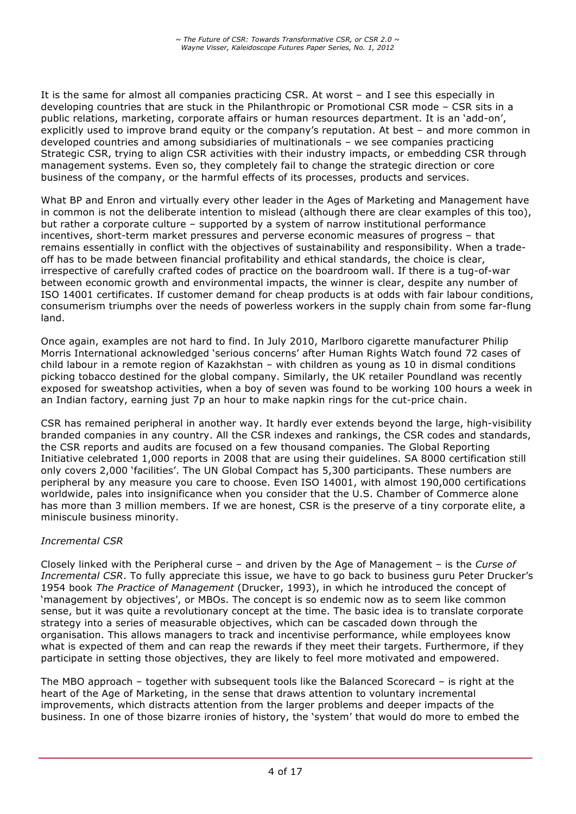It is the same for almost all companies practicing CSR. At worst – and I see this especially in developing countries that are stuck in the Philanthropic or Promotional CSR mode – CSR sits in a public relations, marketing, corporate affairs or human resources department. It is an 'add-on', explicitly used to improve brand equity or the company's reputation. At best – and more common in developed countries and among subsidiaries of multinationals – we see companies practicing Strategic CSR, trying to align CSR activities with their industry impacts, or embedding CSR through management systems. Even so, they completely fail to change the strategic direction or core business of the company, or the harmful effects of its processes, products and services.

What BP and Enron and virtually every other leader in the Ages of Marketing and Management have in common is not the deliberate intention to mislead (although there are clear examples of this too), but rather a corporate culture – supported by a system of narrow institutional performance incentives, short-term market pressures and perverse economic measures of progress – that remains essentially in conflict with the objectives of sustainability and responsibility. When a tradeoff has to be made between financial profitability and ethical standards, the choice is clear, irrespective of carefully crafted codes of practice on the boardroom wall. If there is a tug-of-war between economic growth and environmental impacts, the winner is clear, despite any number of ISO 14001 certificates. If customer demand for cheap products is at odds with fair labour conditions, consumerism triumphs over the needs of powerless workers in the supply chain from some far-flung land.

Once again, examples are not hard to find. In July 2010, Marlboro cigarette manufacturer Philip Morris International acknowledged 'serious concerns' after Human Rights Watch found 72 cases of child labour in a remote region of Kazakhstan – with children as young as 10 in dismal conditions picking tobacco destined for the global company. Similarly, the UK retailer Poundland was recently exposed for sweatshop activities, when a boy of seven was found to be working 100 hours a week in an Indian factory, earning just 7p an hour to make napkin rings for the cut-price chain.

CSR has remained peripheral in another way. It hardly ever extends beyond the large, high-visibility branded companies in any country. All the CSR indexes and rankings, the CSR codes and standards, the CSR reports and audits are focused on a few thousand companies. The Global Reporting Initiative celebrated 1,000 reports in 2008 that are using their guidelines. SA 8000 certification still only covers 2,000 'facilities'. The UN Global Compact has 5,300 participants. These numbers are peripheral by any measure you care to choose. Even ISO 14001, with almost 190,000 certifications worldwide, pales into insignificance when you consider that the U.S. Chamber of Commerce alone has more than 3 million members. If we are honest, CSR is the preserve of a tiny corporate elite, a miniscule business minority.

# *Incremental CSR*

Closely linked with the Peripheral curse – and driven by the Age of Management – is the *Curse of Incremental CSR*. To fully appreciate this issue, we have to go back to business guru Peter Drucker's 1954 book *The Practice of Management* (Drucker, 1993), in which he introduced the concept of 'management by objectives', or MBOs. The concept is so endemic now as to seem like common sense, but it was quite a revolutionary concept at the time. The basic idea is to translate corporate strategy into a series of measurable objectives, which can be cascaded down through the organisation. This allows managers to track and incentivise performance, while employees know what is expected of them and can reap the rewards if they meet their targets. Furthermore, if they participate in setting those objectives, they are likely to feel more motivated and empowered.

The MBO approach – together with subsequent tools like the Balanced Scorecard – is right at the heart of the Age of Marketing, in the sense that draws attention to voluntary incremental improvements, which distracts attention from the larger problems and deeper impacts of the business. In one of those bizarre ironies of history, the 'system' that would do more to embed the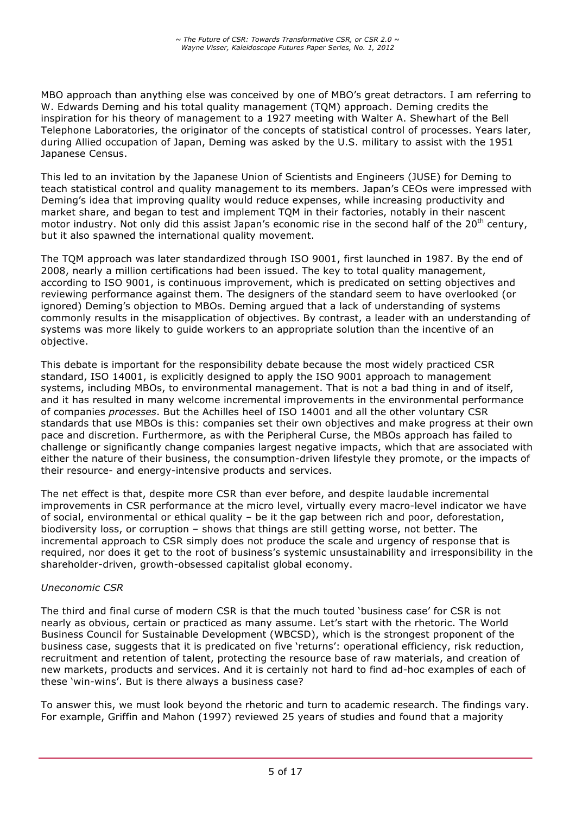MBO approach than anything else was conceived by one of MBO's great detractors. I am referring to W. Edwards Deming and his total quality management (TQM) approach. Deming credits the inspiration for his theory of management to a 1927 meeting with Walter A. Shewhart of the Bell Telephone Laboratories, the originator of the concepts of statistical control of processes. Years later, during Allied occupation of Japan, Deming was asked by the U.S. military to assist with the 1951 Japanese Census.

This led to an invitation by the Japanese Union of Scientists and Engineers (JUSE) for Deming to teach statistical control and quality management to its members. Japan's CEOs were impressed with Deming's idea that improving quality would reduce expenses, while increasing productivity and market share, and began to test and implement TQM in their factories, notably in their nascent motor industry. Not only did this assist Japan's economic rise in the second half of the  $20<sup>th</sup>$  century, but it also spawned the international quality movement.

The TQM approach was later standardized through ISO 9001, first launched in 1987. By the end of 2008, nearly a million certifications had been issued. The key to total quality management, according to ISO 9001, is continuous improvement, which is predicated on setting objectives and reviewing performance against them. The designers of the standard seem to have overlooked (or ignored) Deming's objection to MBOs. Deming argued that a lack of understanding of systems commonly results in the misapplication of objectives. By contrast, a leader with an understanding of systems was more likely to guide workers to an appropriate solution than the incentive of an objective.

This debate is important for the responsibility debate because the most widely practiced CSR standard, ISO 14001, is explicitly designed to apply the ISO 9001 approach to management systems, including MBOs, to environmental management. That is not a bad thing in and of itself, and it has resulted in many welcome incremental improvements in the environmental performance of companies *processes*. But the Achilles heel of ISO 14001 and all the other voluntary CSR standards that use MBOs is this: companies set their own objectives and make progress at their own pace and discretion. Furthermore, as with the Peripheral Curse, the MBOs approach has failed to challenge or significantly change companies largest negative impacts, which that are associated with either the nature of their business, the consumption-driven lifestyle they promote, or the impacts of their resource- and energy-intensive products and services.

The net effect is that, despite more CSR than ever before, and despite laudable incremental improvements in CSR performance at the micro level, virtually every macro-level indicator we have of social, environmental or ethical quality – be it the gap between rich and poor, deforestation, biodiversity loss, or corruption – shows that things are still getting worse, not better. The incremental approach to CSR simply does not produce the scale and urgency of response that is required, nor does it get to the root of business's systemic unsustainability and irresponsibility in the shareholder-driven, growth-obsessed capitalist global economy.

# *Uneconomic CSR*

The third and final curse of modern CSR is that the much touted 'business case' for CSR is not nearly as obvious, certain or practiced as many assume. Let's start with the rhetoric. The World Business Council for Sustainable Development (WBCSD), which is the strongest proponent of the business case, suggests that it is predicated on five 'returns': operational efficiency, risk reduction, recruitment and retention of talent, protecting the resource base of raw materials, and creation of new markets, products and services. And it is certainly not hard to find ad-hoc examples of each of these 'win-wins'. But is there always a business case?

To answer this, we must look beyond the rhetoric and turn to academic research. The findings vary. For example, Griffin and Mahon (1997) reviewed 25 years of studies and found that a majority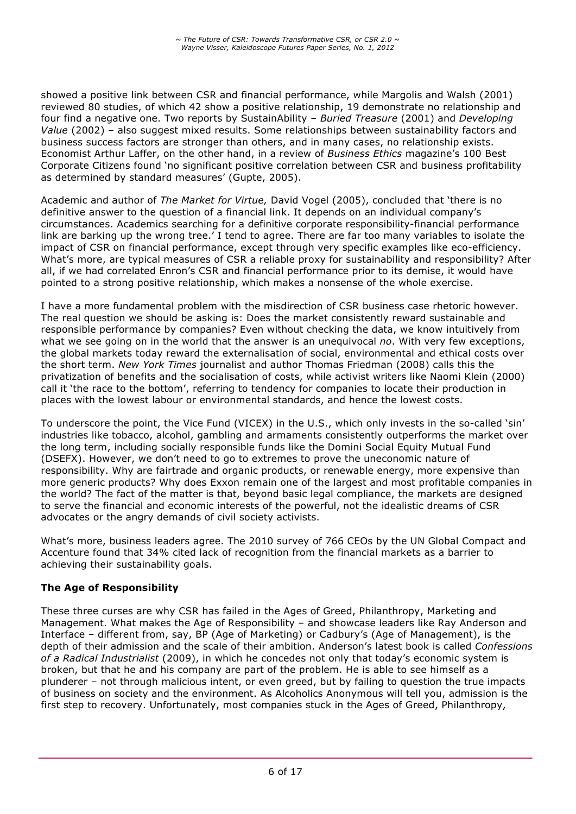showed a positive link between CSR and financial performance, while Margolis and Walsh (2001) reviewed 80 studies, of which 42 show a positive relationship, 19 demonstrate no relationship and four find a negative one. Two reports by SustainAbility – *Buried Treasure* (2001) and *Developing Value* (2002) – also suggest mixed results. Some relationships between sustainability factors and business success factors are stronger than others, and in many cases, no relationship exists. Economist Arthur Laffer, on the other hand, in a review of *Business Ethics* magazine's 100 Best Corporate Citizens found 'no significant positive correlation between CSR and business profitability as determined by standard measures' (Gupte, 2005).

Academic and author of *The Market for Virtue,* David Vogel (2005), concluded that 'there is no definitive answer to the question of a financial link. It depends on an individual company's circumstances. Academics searching for a definitive corporate responsibility-financial performance link are barking up the wrong tree.' I tend to agree. There are far too many variables to isolate the impact of CSR on financial performance, except through very specific examples like eco-efficiency. What's more, are typical measures of CSR a reliable proxy for sustainability and responsibility? After all, if we had correlated Enron's CSR and financial performance prior to its demise, it would have pointed to a strong positive relationship, which makes a nonsense of the whole exercise.

I have a more fundamental problem with the misdirection of CSR business case rhetoric however. The real question we should be asking is: Does the market consistently reward sustainable and responsible performance by companies? Even without checking the data, we know intuitively from what we see going on in the world that the answer is an unequivocal *no*. With very few exceptions, the global markets today reward the externalisation of social, environmental and ethical costs over the short term. *New York Times* journalist and author Thomas Friedman (2008) calls this the privatization of benefits and the socialisation of costs, while activist writers like Naomi Klein (2000) call it 'the race to the bottom', referring to tendency for companies to locate their production in places with the lowest labour or environmental standards, and hence the lowest costs.

To underscore the point, the Vice Fund (VICEX) in the U.S., which only invests in the so-called 'sin' industries like tobacco, alcohol, gambling and armaments consistently outperforms the market over the long term, including socially responsible funds like the Domini Social Equity Mutual Fund (DSEFX). However, we don't need to go to extremes to prove the uneconomic nature of responsibility. Why are fairtrade and organic products, or renewable energy, more expensive than more generic products? Why does Exxon remain one of the largest and most profitable companies in the world? The fact of the matter is that, beyond basic legal compliance, the markets are designed to serve the financial and economic interests of the powerful, not the idealistic dreams of CSR advocates or the angry demands of civil society activists.

What's more, business leaders agree. The 2010 survey of 766 CEOs by the UN Global Compact and Accenture found that 34% cited lack of recognition from the financial markets as a barrier to achieving their sustainability goals.

# **The Age of Responsibility**

These three curses are why CSR has failed in the Ages of Greed, Philanthropy, Marketing and Management. What makes the Age of Responsibility – and showcase leaders like Ray Anderson and Interface – different from, say, BP (Age of Marketing) or Cadbury's (Age of Management), is the depth of their admission and the scale of their ambition. Anderson's latest book is called *Confessions of a Radical Industrialist* (2009), in which he concedes not only that today's economic system is broken, but that he and his company are part of the problem. He is able to see himself as a plunderer – not through malicious intent, or even greed, but by failing to question the true impacts of business on society and the environment. As Alcoholics Anonymous will tell you, admission is the first step to recovery. Unfortunately, most companies stuck in the Ages of Greed, Philanthropy,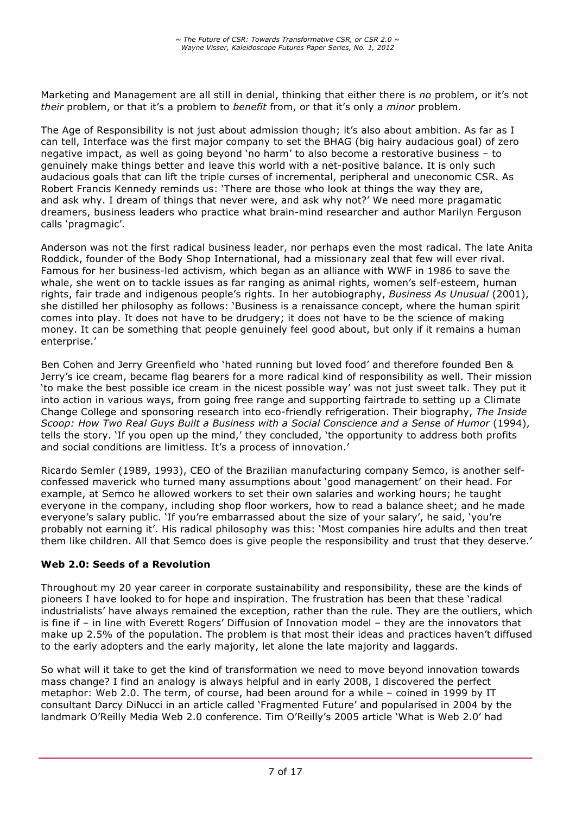Marketing and Management are all still in denial, thinking that either there is *no* problem, or it's not *their* problem, or that it's a problem to *benefit* from, or that it's only a *minor* problem.

The Age of Responsibility is not just about admission though; it's also about ambition. As far as I can tell, Interface was the first major company to set the BHAG (big hairy audacious goal) of zero negative impact, as well as going beyond 'no harm' to also become a restorative business – to genuinely make things better and leave this world with a net-positive balance. It is only such audacious goals that can lift the triple curses of incremental, peripheral and uneconomic CSR. As Robert Francis Kennedy reminds us: 'There are those who look at things the way they are, and ask why. I dream of things that never were, and ask why not?' We need more pragamatic dreamers, business leaders who practice what brain-mind researcher and author Marilyn Ferguson calls 'pragmagic'.

Anderson was not the first radical business leader, nor perhaps even the most radical. The late Anita Roddick, founder of the Body Shop International, had a missionary zeal that few will ever rival. Famous for her business-led activism, which began as an alliance with WWF in 1986 to save the whale, she went on to tackle issues as far ranging as animal rights, women's self-esteem, human rights, fair trade and indigenous people's rights. In her autobiography, *Business As Unusual* (2001), she distilled her philosophy as follows: 'Business is a renaissance concept, where the human spirit comes into play. It does not have to be drudgery; it does not have to be the science of making money. It can be something that people genuinely feel good about, but only if it remains a human enterprise.'

Ben Cohen and Jerry Greenfield who 'hated running but loved food' and therefore founded Ben & Jerry's ice cream, became flag bearers for a more radical kind of responsibility as well. Their mission 'to make the best possible ice cream in the nicest possible way' was not just sweet talk. They put it into action in various ways, from going free range and supporting fairtrade to setting up a Climate Change College and sponsoring research into eco-friendly refrigeration. Their biography, *The Inside Scoop: How Two Real Guys Built a Business with a Social Conscience and a Sense of Humor* (1994), tells the story. 'If you open up the mind,' they concluded, 'the opportunity to address both profits and social conditions are limitless. It's a process of innovation.'

Ricardo Semler (1989, 1993), CEO of the Brazilian manufacturing company Semco, is another selfconfessed maverick who turned many assumptions about 'good management' on their head. For example, at Semco he allowed workers to set their own salaries and working hours; he taught everyone in the company, including shop floor workers, how to read a balance sheet; and he made everyone's salary public. 'If you're embarrassed about the size of your salary', he said, 'you're probably not earning it'. His radical philosophy was this: 'Most companies hire adults and then treat them like children. All that Semco does is give people the responsibility and trust that they deserve.'

# **Web 2.0: Seeds of a Revolution**

Throughout my 20 year career in corporate sustainability and responsibility, these are the kinds of pioneers I have looked to for hope and inspiration. The frustration has been that these 'radical industrialists' have always remained the exception, rather than the rule. They are the outliers, which is fine if – in line with Everett Rogers' Diffusion of Innovation model – they are the innovators that make up 2.5% of the population. The problem is that most their ideas and practices haven't diffused to the early adopters and the early majority, let alone the late majority and laggards.

So what will it take to get the kind of transformation we need to move beyond innovation towards mass change? I find an analogy is always helpful and in early 2008, I discovered the perfect metaphor: Web 2.0. The term, of course, had been around for a while – coined in 1999 by IT consultant Darcy DiNucci in an article called 'Fragmented Future' and popularised in 2004 by the landmark O'Reilly Media Web 2.0 conference. Tim O'Reilly's 2005 article 'What is Web 2.0' had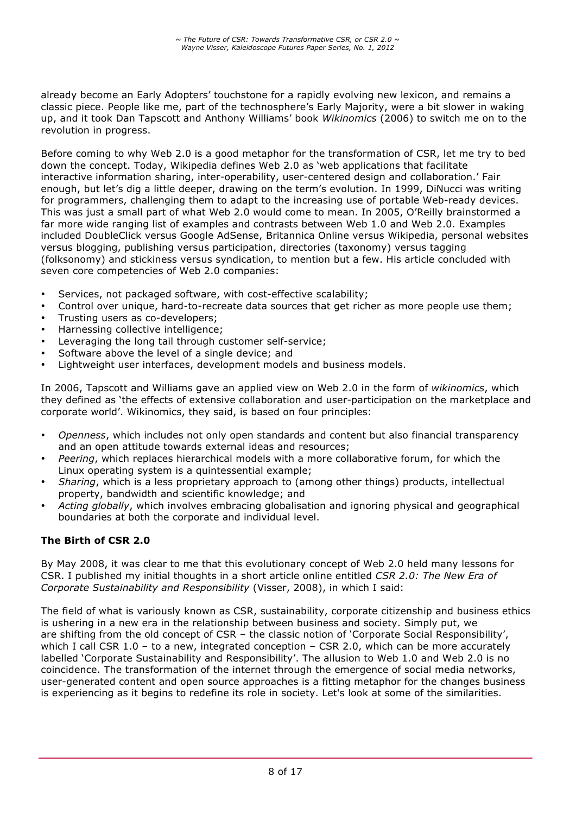already become an Early Adopters' touchstone for a rapidly evolving new lexicon, and remains a classic piece. People like me, part of the technosphere's Early Majority, were a bit slower in waking up, and it took Dan Tapscott and Anthony Williams' book *Wikinomics* (2006) to switch me on to the revolution in progress.

Before coming to why Web 2.0 is a good metaphor for the transformation of CSR, let me try to bed down the concept. Today, Wikipedia defines Web 2.0 as 'web applications that facilitate interactive information sharing, inter-operability, user-centered design and collaboration.' Fair enough, but let's dig a little deeper, drawing on the term's evolution. In 1999, DiNucci was writing for programmers, challenging them to adapt to the increasing use of portable Web-ready devices. This was just a small part of what Web 2.0 would come to mean. In 2005, O'Reilly brainstormed a far more wide ranging list of examples and contrasts between Web 1.0 and Web 2.0. Examples included DoubleClick versus Google AdSense, Britannica Online versus Wikipedia, personal websites versus blogging, publishing versus participation, directories (taxonomy) versus tagging (folksonomy) and stickiness versus syndication, to mention but a few. His article concluded with seven core competencies of Web 2.0 companies:

- Services, not packaged software, with cost-effective scalability;
- Control over unique, hard-to-recreate data sources that get richer as more people use them;
- Trusting users as co-developers;
- Harnessing collective intelligence;
- Leveraging the long tail through customer self-service;
- Software above the level of a single device; and
- Lightweight user interfaces, development models and business models.

In 2006, Tapscott and Williams gave an applied view on Web 2.0 in the form of *wikinomics*, which they defined as 'the effects of extensive collaboration and user-participation on the marketplace and corporate world'. Wikinomics, they said, is based on four principles:

- *Openness*, which includes not only open standards and content but also financial transparency and an open attitude towards external ideas and resources;
- *Peering*, which replaces hierarchical models with a more collaborative forum, for which the Linux operating system is a quintessential example;
- *Sharing*, which is a less proprietary approach to (among other things) products, intellectual property, bandwidth and scientific knowledge; and
- *Acting globally*, which involves embracing globalisation and ignoring physical and geographical boundaries at both the corporate and individual level.

# **The Birth of CSR 2.0**

By May 2008, it was clear to me that this evolutionary concept of Web 2.0 held many lessons for CSR. I published my initial thoughts in a short article online entitled *CSR 2.0: The New Era of Corporate Sustainability and Responsibility* (Visser, 2008), in which I said:

The field of what is variously known as CSR, sustainability, corporate citizenship and business ethics is ushering in a new era in the relationship between business and society. Simply put, we are shifting from the old concept of CSR – the classic notion of 'Corporate Social Responsibility', which I call CSR  $1.0$  – to a new, integrated conception – CSR 2.0, which can be more accurately labelled 'Corporate Sustainability and Responsibility'. The allusion to Web 1.0 and Web 2.0 is no coincidence. The transformation of the internet through the emergence of social media networks, user-generated content and open source approaches is a fitting metaphor for the changes business is experiencing as it begins to redefine its role in society. Let's look at some of the similarities.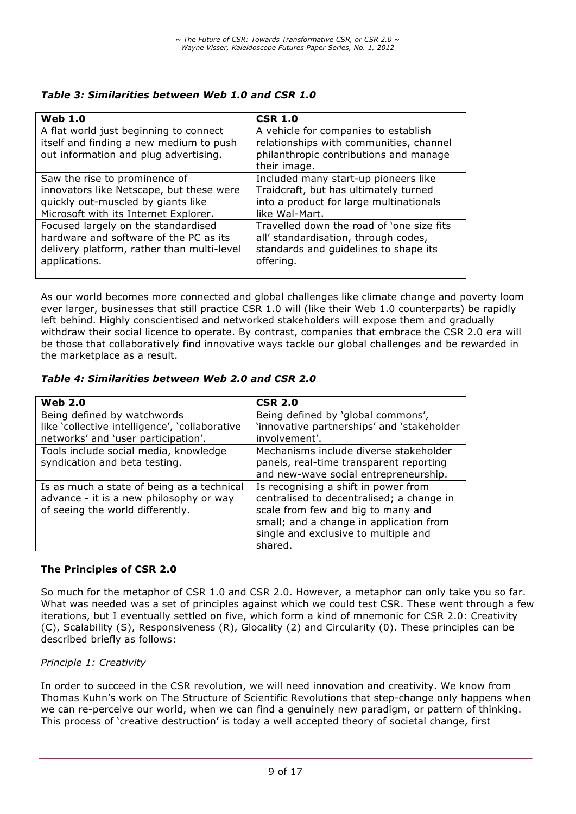*Table 3: Similarities between Web 1.0 and CSR 1.0*

| <b>Web 1.0</b>                             | <b>CSR 1.0</b>                            |
|--------------------------------------------|-------------------------------------------|
| A flat world just beginning to connect     | A vehicle for companies to establish      |
| itself and finding a new medium to push    | relationships with communities, channel   |
| out information and plug advertising.      | philanthropic contributions and manage    |
|                                            | their image.                              |
| Saw the rise to prominence of              | Included many start-up pioneers like      |
| innovators like Netscape, but these were   | Traidcraft, but has ultimately turned     |
| quickly out-muscled by giants like         | into a product for large multinationals   |
| Microsoft with its Internet Explorer.      | like Wal-Mart.                            |
| Focused largely on the standardised        | Travelled down the road of 'one size fits |
| hardware and software of the PC as its     | all' standardisation, through codes,      |
| delivery platform, rather than multi-level | standards and guidelines to shape its     |
| applications.                              | offering.                                 |
|                                            |                                           |

As our world becomes more connected and global challenges like climate change and poverty loom ever larger, businesses that still practice CSR 1.0 will (like their Web 1.0 counterparts) be rapidly left behind. Highly conscientised and networked stakeholders will expose them and gradually withdraw their social licence to operate. By contrast, companies that embrace the CSR 2.0 era will be those that collaboratively find innovative ways tackle our global challenges and be rewarded in the marketplace as a result.

*Table 4: Similarities between Web 2.0 and CSR 2.0*

| <b>Web 2.0</b>                                                                                                            | <b>CSR 2.0</b>                                                                                                                                                                                                        |
|---------------------------------------------------------------------------------------------------------------------------|-----------------------------------------------------------------------------------------------------------------------------------------------------------------------------------------------------------------------|
| Being defined by watchwords                                                                                               | Being defined by 'global commons',                                                                                                                                                                                    |
| like 'collective intelligence', 'collaborative                                                                            | 'innovative partnerships' and 'stakeholder                                                                                                                                                                            |
| networks' and 'user participation'.                                                                                       | involvement'.                                                                                                                                                                                                         |
| Tools include social media, knowledge                                                                                     | Mechanisms include diverse stakeholder                                                                                                                                                                                |
| syndication and beta testing.                                                                                             | panels, real-time transparent reporting                                                                                                                                                                               |
|                                                                                                                           | and new-wave social entrepreneurship.                                                                                                                                                                                 |
| Is as much a state of being as a technical<br>advance - it is a new philosophy or way<br>of seeing the world differently. | Is recognising a shift in power from<br>centralised to decentralised; a change in<br>scale from few and big to many and<br>small; and a change in application from<br>single and exclusive to multiple and<br>shared. |

# **The Principles of CSR 2.0**

So much for the metaphor of CSR 1.0 and CSR 2.0. However, a metaphor can only take you so far. What was needed was a set of principles against which we could test CSR. These went through a few iterations, but I eventually settled on five, which form a kind of mnemonic for CSR 2.0: Creativity (C), Scalability (S), Responsiveness (R), Glocality (2) and Circularity (0). These principles can be described briefly as follows:

# *Principle 1: Creativity*

In order to succeed in the CSR revolution, we will need innovation and creativity. We know from Thomas Kuhn's work on The Structure of Scientific Revolutions that step-change only happens when we can re-perceive our world, when we can find a genuinely new paradigm, or pattern of thinking. This process of 'creative destruction' is today a well accepted theory of societal change, first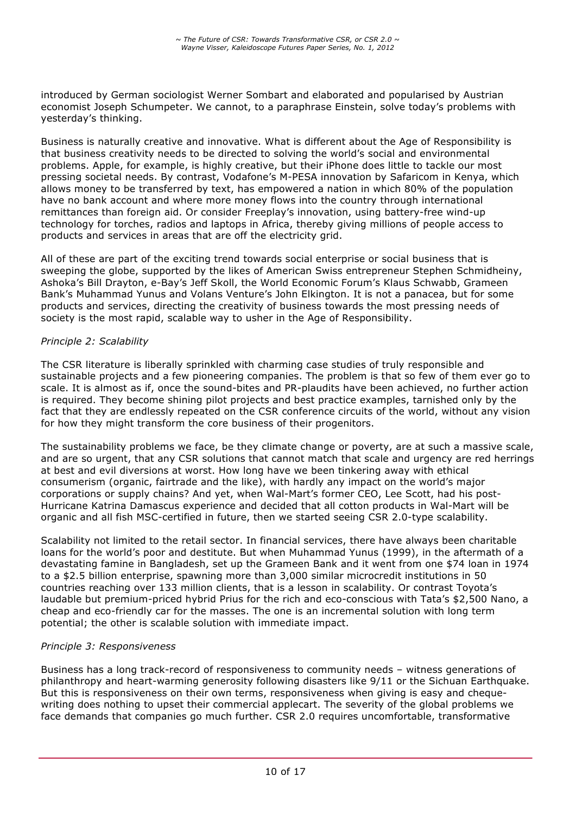introduced by German sociologist Werner Sombart and elaborated and popularised by Austrian economist Joseph Schumpeter. We cannot, to a paraphrase Einstein, solve today's problems with yesterday's thinking.

Business is naturally creative and innovative. What is different about the Age of Responsibility is that business creativity needs to be directed to solving the world's social and environmental problems. Apple, for example, is highly creative, but their iPhone does little to tackle our most pressing societal needs. By contrast, Vodafone's M-PESA innovation by Safaricom in Kenya, which allows money to be transferred by text, has empowered a nation in which 80% of the population have no bank account and where more money flows into the country through international remittances than foreign aid. Or consider Freeplay's innovation, using battery-free wind-up technology for torches, radios and laptops in Africa, thereby giving millions of people access to products and services in areas that are off the electricity grid.

All of these are part of the exciting trend towards social enterprise or social business that is sweeping the globe, supported by the likes of American Swiss entrepreneur Stephen Schmidheiny, Ashoka's Bill Drayton, e-Bay's Jeff Skoll, the World Economic Forum's Klaus Schwabb, Grameen Bank's Muhammad Yunus and Volans Venture's John Elkington. It is not a panacea, but for some products and services, directing the creativity of business towards the most pressing needs of society is the most rapid, scalable way to usher in the Age of Responsibility.

#### *Principle 2: Scalability*

The CSR literature is liberally sprinkled with charming case studies of truly responsible and sustainable projects and a few pioneering companies. The problem is that so few of them ever go to scale. It is almost as if, once the sound-bites and PR-plaudits have been achieved, no further action is required. They become shining pilot projects and best practice examples, tarnished only by the fact that they are endlessly repeated on the CSR conference circuits of the world, without any vision for how they might transform the core business of their progenitors.

The sustainability problems we face, be they climate change or poverty, are at such a massive scale, and are so urgent, that any CSR solutions that cannot match that scale and urgency are red herrings at best and evil diversions at worst. How long have we been tinkering away with ethical consumerism (organic, fairtrade and the like), with hardly any impact on the world's major corporations or supply chains? And yet, when Wal-Mart's former CEO, Lee Scott, had his post-Hurricane Katrina Damascus experience and decided that all cotton products in Wal-Mart will be organic and all fish MSC-certified in future, then we started seeing CSR 2.0-type scalability.

Scalability not limited to the retail sector. In financial services, there have always been charitable loans for the world's poor and destitute. But when Muhammad Yunus (1999), in the aftermath of a devastating famine in Bangladesh, set up the Grameen Bank and it went from one \$74 loan in 1974 to a \$2.5 billion enterprise, spawning more than 3,000 similar microcredit institutions in 50 countries reaching over 133 million clients, that is a lesson in scalability. Or contrast Toyota's laudable but premium-priced hybrid Prius for the rich and eco-conscious with Tata's \$2,500 Nano, a cheap and eco-friendly car for the masses. The one is an incremental solution with long term potential; the other is scalable solution with immediate impact.

#### *Principle 3: Responsiveness*

Business has a long track-record of responsiveness to community needs – witness generations of philanthropy and heart-warming generosity following disasters like 9/11 or the Sichuan Earthquake. But this is responsiveness on their own terms, responsiveness when giving is easy and chequewriting does nothing to upset their commercial applecart. The severity of the global problems we face demands that companies go much further. CSR 2.0 requires uncomfortable, transformative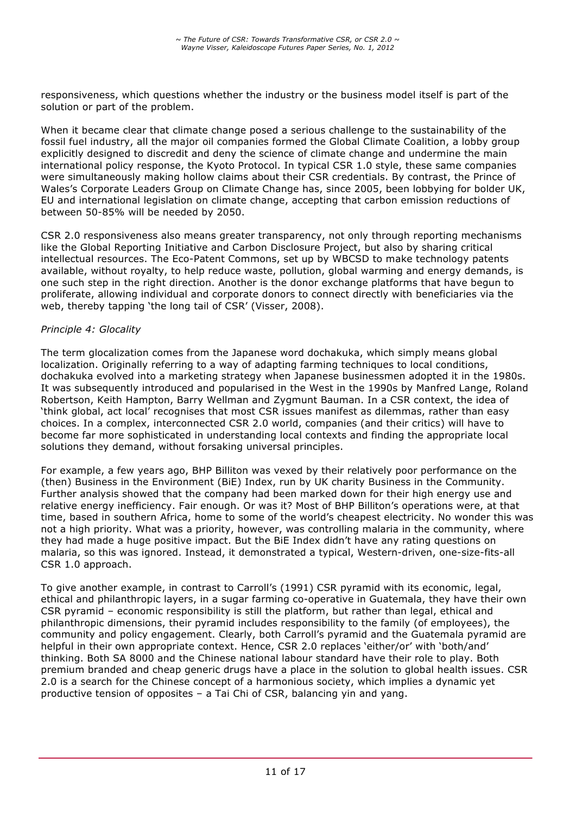responsiveness, which questions whether the industry or the business model itself is part of the solution or part of the problem.

When it became clear that climate change posed a serious challenge to the sustainability of the fossil fuel industry, all the major oil companies formed the Global Climate Coalition, a lobby group explicitly designed to discredit and deny the science of climate change and undermine the main international policy response, the Kyoto Protocol. In typical CSR 1.0 style, these same companies were simultaneously making hollow claims about their CSR credentials. By contrast, the Prince of Wales's Corporate Leaders Group on Climate Change has, since 2005, been lobbying for bolder UK, EU and international legislation on climate change, accepting that carbon emission reductions of between 50-85% will be needed by 2050.

CSR 2.0 responsiveness also means greater transparency, not only through reporting mechanisms like the Global Reporting Initiative and Carbon Disclosure Project, but also by sharing critical intellectual resources. The Eco-Patent Commons, set up by WBCSD to make technology patents available, without royalty, to help reduce waste, pollution, global warming and energy demands, is one such step in the right direction. Another is the donor exchange platforms that have begun to proliferate, allowing individual and corporate donors to connect directly with beneficiaries via the web, thereby tapping 'the long tail of CSR' (Visser, 2008).

#### *Principle 4: Glocality*

The term glocalization comes from the Japanese word dochakuka, which simply means global localization. Originally referring to a way of adapting farming techniques to local conditions, dochakuka evolved into a marketing strategy when Japanese businessmen adopted it in the 1980s. It was subsequently introduced and popularised in the West in the 1990s by Manfred Lange, Roland Robertson, Keith Hampton, Barry Wellman and Zygmunt Bauman. In a CSR context, the idea of 'think global, act local' recognises that most CSR issues manifest as dilemmas, rather than easy choices. In a complex, interconnected CSR 2.0 world, companies (and their critics) will have to become far more sophisticated in understanding local contexts and finding the appropriate local solutions they demand, without forsaking universal principles.

For example, a few years ago, BHP Billiton was vexed by their relatively poor performance on the (then) Business in the Environment (BiE) Index, run by UK charity Business in the Community. Further analysis showed that the company had been marked down for their high energy use and relative energy inefficiency. Fair enough. Or was it? Most of BHP Billiton's operations were, at that time, based in southern Africa, home to some of the world's cheapest electricity. No wonder this was not a high priority. What was a priority, however, was controlling malaria in the community, where they had made a huge positive impact. But the BiE Index didn't have any rating questions on malaria, so this was ignored. Instead, it demonstrated a typical, Western-driven, one-size-fits-all CSR 1.0 approach.

To give another example, in contrast to Carroll's (1991) CSR pyramid with its economic, legal, ethical and philanthropic layers, in a sugar farming co-operative in Guatemala, they have their own CSR pyramid – economic responsibility is still the platform, but rather than legal, ethical and philanthropic dimensions, their pyramid includes responsibility to the family (of employees), the community and policy engagement. Clearly, both Carroll's pyramid and the Guatemala pyramid are helpful in their own appropriate context. Hence, CSR 2.0 replaces 'either/or' with 'both/and' thinking. Both SA 8000 and the Chinese national labour standard have their role to play. Both premium branded and cheap generic drugs have a place in the solution to global health issues. CSR 2.0 is a search for the Chinese concept of a harmonious society, which implies a dynamic yet productive tension of opposites – a Tai Chi of CSR, balancing yin and yang.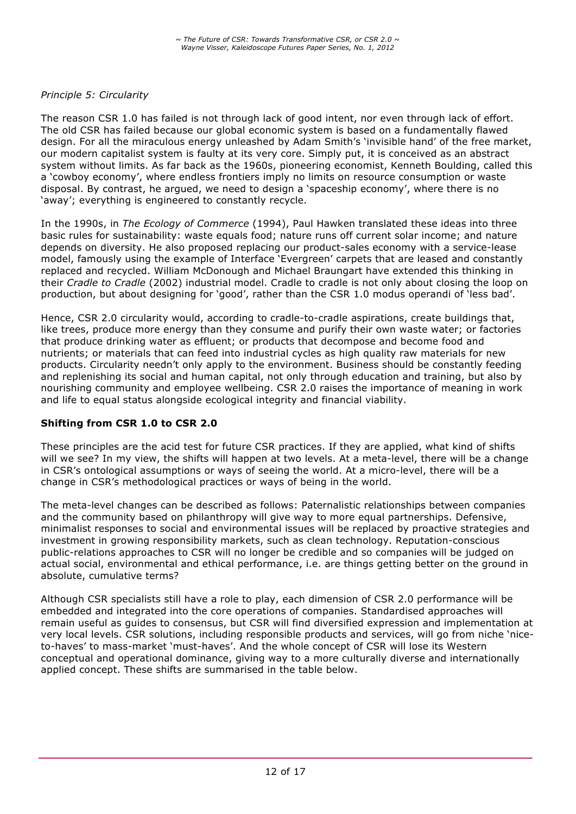#### *Principle 5: Circularity*

The reason CSR 1.0 has failed is not through lack of good intent, nor even through lack of effort. The old CSR has failed because our global economic system is based on a fundamentally flawed design. For all the miraculous energy unleashed by Adam Smith's 'invisible hand' of the free market, our modern capitalist system is faulty at its very core. Simply put, it is conceived as an abstract system without limits. As far back as the 1960s, pioneering economist, Kenneth Boulding, called this a 'cowboy economy', where endless frontiers imply no limits on resource consumption or waste disposal. By contrast, he argued, we need to design a 'spaceship economy', where there is no 'away'; everything is engineered to constantly recycle.

In the 1990s, in *The Ecology of Commerce* (1994), Paul Hawken translated these ideas into three basic rules for sustainability: waste equals food; nature runs off current solar income; and nature depends on diversity. He also proposed replacing our product-sales economy with a service-lease model, famously using the example of Interface 'Evergreen' carpets that are leased and constantly replaced and recycled. William McDonough and Michael Braungart have extended this thinking in their *Cradle to Cradle* (2002) industrial model. Cradle to cradle is not only about closing the loop on production, but about designing for 'good', rather than the CSR 1.0 modus operandi of 'less bad'.

Hence, CSR 2.0 circularity would, according to cradle-to-cradle aspirations, create buildings that, like trees, produce more energy than they consume and purify their own waste water; or factories that produce drinking water as effluent; or products that decompose and become food and nutrients; or materials that can feed into industrial cycles as high quality raw materials for new products. Circularity needn't only apply to the environment. Business should be constantly feeding and replenishing its social and human capital, not only through education and training, but also by nourishing community and employee wellbeing. CSR 2.0 raises the importance of meaning in work and life to equal status alongside ecological integrity and financial viability.

#### **Shifting from CSR 1.0 to CSR 2.0**

These principles are the acid test for future CSR practices. If they are applied, what kind of shifts will we see? In my view, the shifts will happen at two levels. At a meta-level, there will be a change in CSR's ontological assumptions or ways of seeing the world. At a micro-level, there will be a change in CSR's methodological practices or ways of being in the world.

The meta-level changes can be described as follows: Paternalistic relationships between companies and the community based on philanthropy will give way to more equal partnerships. Defensive, minimalist responses to social and environmental issues will be replaced by proactive strategies and investment in growing responsibility markets, such as clean technology. Reputation-conscious public-relations approaches to CSR will no longer be credible and so companies will be judged on actual social, environmental and ethical performance, i.e. are things getting better on the ground in absolute, cumulative terms?

Although CSR specialists still have a role to play, each dimension of CSR 2.0 performance will be embedded and integrated into the core operations of companies. Standardised approaches will remain useful as guides to consensus, but CSR will find diversified expression and implementation at very local levels. CSR solutions, including responsible products and services, will go from niche 'niceto-haves' to mass-market 'must-haves'. And the whole concept of CSR will lose its Western conceptual and operational dominance, giving way to a more culturally diverse and internationally applied concept. These shifts are summarised in the table below.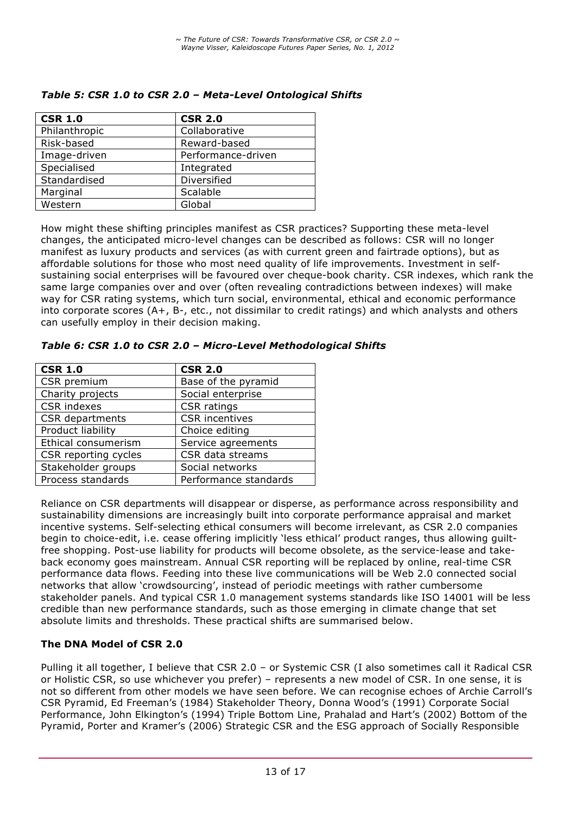| <b>CSR 1.0</b> | <b>CSR 2.0</b>     |
|----------------|--------------------|
| Philanthropic  | Collaborative      |
| Risk-based     | Reward-based       |
| Image-driven   | Performance-driven |
| Specialised    | Integrated         |
| Standardised   | Diversified        |
| Marginal       | Scalable           |
| Western        | Global             |

#### *Table 5: CSR 1.0 to CSR 2.0 – Meta-Level Ontological Shifts*

How might these shifting principles manifest as CSR practices? Supporting these meta-level changes, the anticipated micro-level changes can be described as follows: CSR will no longer manifest as luxury products and services (as with current green and fairtrade options), but as affordable solutions for those who most need quality of life improvements. Investment in selfsustaining social enterprises will be favoured over cheque-book charity. CSR indexes, which rank the same large companies over and over (often revealing contradictions between indexes) will make way for CSR rating systems, which turn social, environmental, ethical and economic performance into corporate scores (A+, B-, etc., not dissimilar to credit ratings) and which analysts and others can usefully employ in their decision making.

| <b>CSR 1.0</b>       | <b>CSR 2.0</b>        |
|----------------------|-----------------------|
|                      |                       |
| CSR premium          | Base of the pyramid   |
| Charity projects     | Social enterprise     |
| <b>CSR</b> indexes   | <b>CSR</b> ratings    |
| CSR departments      | <b>CSR</b> incentives |
| Product liability    | Choice editing        |
| Ethical consumerism  | Service agreements    |
| CSR reporting cycles | CSR data streams      |
| Stakeholder groups   | Social networks       |

Process standards | Performance standards

*Table 6: CSR 1.0 to CSR 2.0 – Micro-Level Methodological Shifts*

Reliance on CSR departments will disappear or disperse, as performance across responsibility and sustainability dimensions are increasingly built into corporate performance appraisal and market incentive systems. Self-selecting ethical consumers will become irrelevant, as CSR 2.0 companies begin to choice-edit, i.e. cease offering implicitly 'less ethical' product ranges, thus allowing guiltfree shopping. Post-use liability for products will become obsolete, as the service-lease and takeback economy goes mainstream. Annual CSR reporting will be replaced by online, real-time CSR performance data flows. Feeding into these live communications will be Web 2.0 connected social networks that allow 'crowdsourcing', instead of periodic meetings with rather cumbersome stakeholder panels. And typical CSR 1.0 management systems standards like ISO 14001 will be less credible than new performance standards, such as those emerging in climate change that set absolute limits and thresholds. These practical shifts are summarised below.

# **The DNA Model of CSR 2.0**

Pulling it all together, I believe that CSR 2.0 – or Systemic CSR (I also sometimes call it Radical CSR or Holistic CSR, so use whichever you prefer) – represents a new model of CSR. In one sense, it is not so different from other models we have seen before. We can recognise echoes of Archie Carroll's CSR Pyramid, Ed Freeman's (1984) Stakeholder Theory, Donna Wood's (1991) Corporate Social Performance, John Elkington's (1994) Triple Bottom Line, Prahalad and Hart's (2002) Bottom of the Pyramid, Porter and Kramer's (2006) Strategic CSR and the ESG approach of Socially Responsible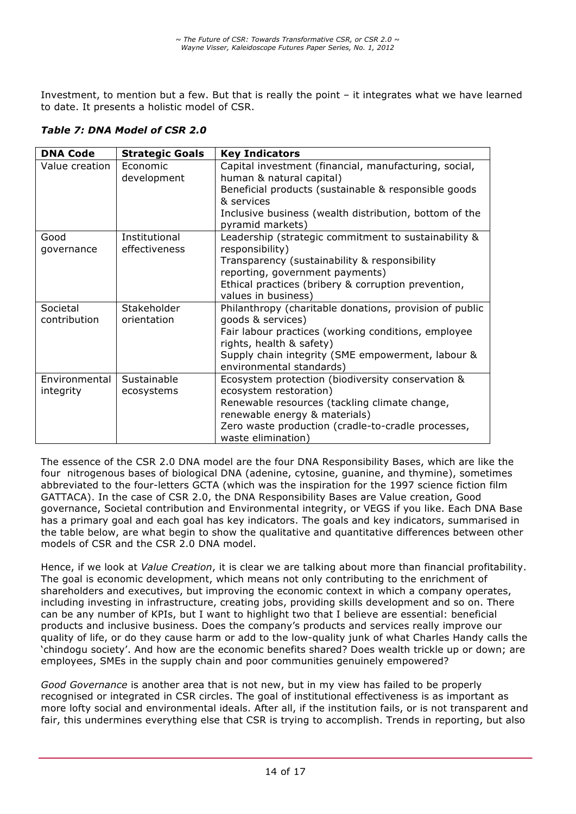Investment, to mention but a few. But that is really the point – it integrates what we have learned to date. It presents a holistic model of CSR.

### *Table 7: DNA Model of CSR 2.0*

| <b>DNA Code</b>            | <b>Strategic Goals</b>         | <b>Key Indicators</b>                                                                                                                                                                                                                            |
|----------------------------|--------------------------------|--------------------------------------------------------------------------------------------------------------------------------------------------------------------------------------------------------------------------------------------------|
| Value creation             | Economic<br>development        | Capital investment (financial, manufacturing, social,<br>human & natural capital)<br>Beneficial products (sustainable & responsible goods<br>& services<br>Inclusive business (wealth distribution, bottom of the<br>pyramid markets)            |
| Good<br>governance         | Institutional<br>effectiveness | Leadership (strategic commitment to sustainability &<br>responsibility)<br>Transparency (sustainability & responsibility<br>reporting, government payments)<br>Ethical practices (bribery & corruption prevention,<br>values in business)        |
| Societal<br>contribution   | Stakeholder<br>orientation     | Philanthropy (charitable donations, provision of public<br>goods & services)<br>Fair labour practices (working conditions, employee<br>rights, health & safety)<br>Supply chain integrity (SME empowerment, labour &<br>environmental standards) |
| Environmental<br>integrity | Sustainable<br>ecosystems      | Ecosystem protection (biodiversity conservation &<br>ecosystem restoration)<br>Renewable resources (tackling climate change,<br>renewable energy & materials)<br>Zero waste production (cradle-to-cradle processes,<br>waste elimination)        |

The essence of the CSR 2.0 DNA model are the four DNA Responsibility Bases, which are like the four nitrogenous bases of biological DNA (adenine, cytosine, guanine, and thymine), sometimes abbreviated to the four-letters GCTA (which was the inspiration for the 1997 science fiction film GATTACA). In the case of CSR 2.0, the DNA Responsibility Bases are Value creation, Good governance, Societal contribution and Environmental integrity, or VEGS if you like. Each DNA Base has a primary goal and each goal has key indicators. The goals and key indicators, summarised in the table below, are what begin to show the qualitative and quantitative differences between other models of CSR and the CSR 2.0 DNA model.

Hence, if we look at *Value Creation*, it is clear we are talking about more than financial profitability. The goal is economic development, which means not only contributing to the enrichment of shareholders and executives, but improving the economic context in which a company operates, including investing in infrastructure, creating jobs, providing skills development and so on. There can be any number of KPIs, but I want to highlight two that I believe are essential: beneficial products and inclusive business. Does the company's products and services really improve our quality of life, or do they cause harm or add to the low-quality junk of what Charles Handy calls the 'chindogu society'. And how are the economic benefits shared? Does wealth trickle up or down; are employees, SMEs in the supply chain and poor communities genuinely empowered?

*Good Governance* is another area that is not new, but in my view has failed to be properly recognised or integrated in CSR circles. The goal of institutional effectiveness is as important as more lofty social and environmental ideals. After all, if the institution fails, or is not transparent and fair, this undermines everything else that CSR is trying to accomplish. Trends in reporting, but also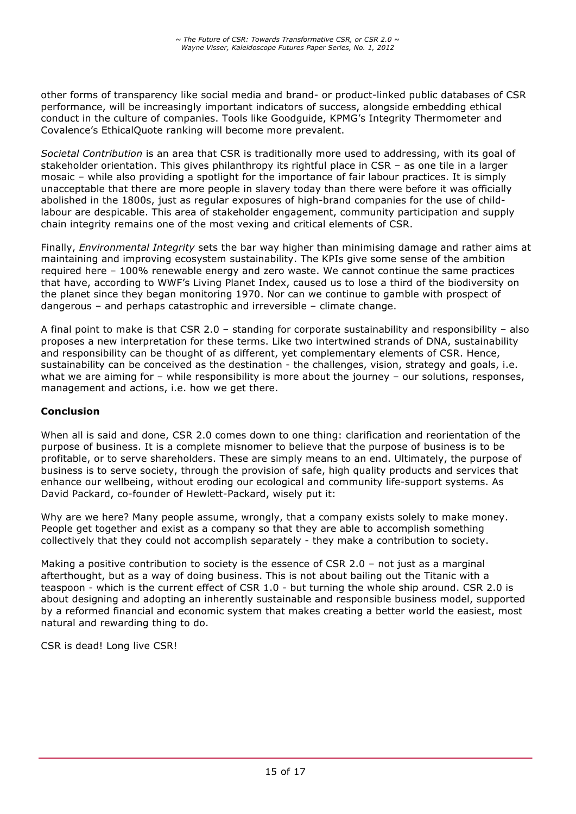other forms of transparency like social media and brand- or product-linked public databases of CSR performance, will be increasingly important indicators of success, alongside embedding ethical conduct in the culture of companies. Tools like Goodguide, KPMG's Integrity Thermometer and Covalence's EthicalQuote ranking will become more prevalent.

*Societal Contribution* is an area that CSR is traditionally more used to addressing, with its goal of stakeholder orientation. This gives philanthropy its rightful place in CSR – as one tile in a larger mosaic – while also providing a spotlight for the importance of fair labour practices. It is simply unacceptable that there are more people in slavery today than there were before it was officially abolished in the 1800s, just as regular exposures of high-brand companies for the use of childlabour are despicable. This area of stakeholder engagement, community participation and supply chain integrity remains one of the most vexing and critical elements of CSR.

Finally, *Environmental Integrity* sets the bar way higher than minimising damage and rather aims at maintaining and improving ecosystem sustainability. The KPIs give some sense of the ambition required here – 100% renewable energy and zero waste. We cannot continue the same practices that have, according to WWF's Living Planet Index, caused us to lose a third of the biodiversity on the planet since they began monitoring 1970. Nor can we continue to gamble with prospect of dangerous – and perhaps catastrophic and irreversible – climate change.

A final point to make is that CSR 2.0 – standing for corporate sustainability and responsibility – also proposes a new interpretation for these terms. Like two intertwined strands of DNA, sustainability and responsibility can be thought of as different, yet complementary elements of CSR. Hence, sustainability can be conceived as the destination - the challenges, vision, strategy and goals, i.e. what we are aiming for – while responsibility is more about the journey – our solutions, responses, management and actions, i.e. how we get there.

# **Conclusion**

When all is said and done, CSR 2.0 comes down to one thing: clarification and reorientation of the purpose of business. It is a complete misnomer to believe that the purpose of business is to be profitable, or to serve shareholders. These are simply means to an end. Ultimately, the purpose of business is to serve society, through the provision of safe, high quality products and services that enhance our wellbeing, without eroding our ecological and community life-support systems. As David Packard, co-founder of Hewlett-Packard, wisely put it:

Why are we here? Many people assume, wrongly, that a company exists solely to make money. People get together and exist as a company so that they are able to accomplish something collectively that they could not accomplish separately - they make a contribution to society.

Making a positive contribution to society is the essence of CSR 2.0 – not just as a marginal afterthought, but as a way of doing business. This is not about bailing out the Titanic with a teaspoon - which is the current effect of CSR 1.0 - but turning the whole ship around. CSR 2.0 is about designing and adopting an inherently sustainable and responsible business model, supported by a reformed financial and economic system that makes creating a better world the easiest, most natural and rewarding thing to do.

CSR is dead! Long live CSR!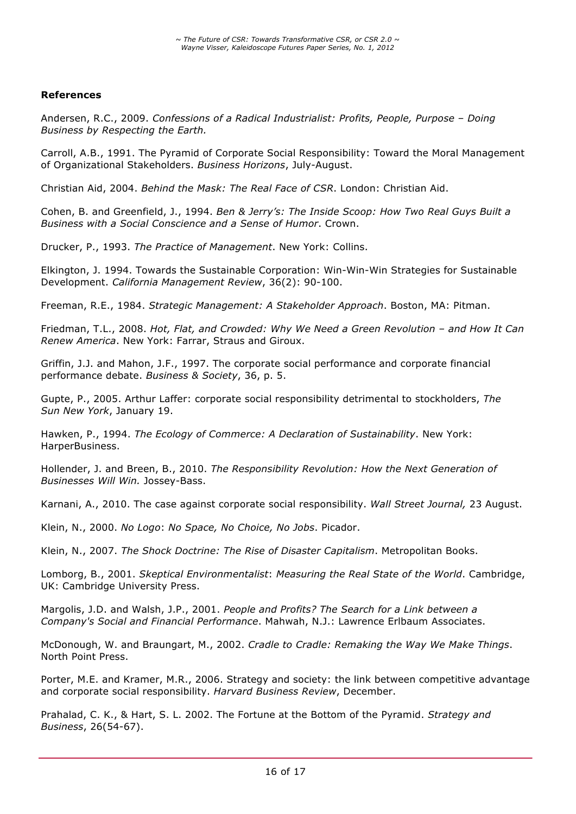#### **References**

Andersen, R.C., 2009. *Confessions of a Radical Industrialist: Profits, People, Purpose – Doing Business by Respecting the Earth.*

Carroll, A.B., 1991. The Pyramid of Corporate Social Responsibility: Toward the Moral Management of Organizational Stakeholders. *Business Horizons*, July-August.

Christian Aid, 2004. *Behind the Mask: The Real Face of CSR*. London: Christian Aid.

Cohen, B. and Greenfield, J., 1994. *Ben & Jerry's: The Inside Scoop: How Two Real Guys Built a Business with a Social Conscience and a Sense of Humor*. Crown.

Drucker, P., 1993. *The Practice of Management*. New York: Collins.

Elkington, J. 1994. Towards the Sustainable Corporation: Win-Win-Win Strategies for Sustainable Development. *California Management Review*, 36(2): 90-100.

Freeman, R.E., 1984. *Strategic Management: A Stakeholder Approach*. Boston, MA: Pitman.

Friedman, T.L., 2008. *Hot, Flat, and Crowded: Why We Need a Green Revolution – and How It Can Renew America*. New York: Farrar, Straus and Giroux.

Griffin, J.J. and Mahon, J.F., 1997. The corporate social performance and corporate financial performance debate. *Business & Society*, 36, p. 5.

Gupte, P., 2005. Arthur Laffer: corporate social responsibility detrimental to stockholders, *The Sun New York*, January 19.

Hawken, P., 1994. *The Ecology of Commerce: A Declaration of Sustainability*. New York: HarperBusiness.

Hollender, J. and Breen, B., 2010. *The Responsibility Revolution: How the Next Generation of Businesses Will Win.* Jossey-Bass.

Karnani, A., 2010. The case against corporate social responsibility. *Wall Street Journal,* 23 August.

Klein, N., 2000. *No Logo*: *No Space, No Choice, No Jobs*. Picador.

Klein, N., 2007. *The Shock Doctrine: The Rise of Disaster Capitalism*. Metropolitan Books.

Lomborg, B., 2001. *Skeptical Environmentalist*: *Measuring the Real State of the World*. Cambridge, UK: Cambridge University Press.

Margolis, J.D. and Walsh, J.P., 2001. *People and Profits? The Search for a Link between a Company's Social and Financial Performance*. Mahwah, N.J.: Lawrence Erlbaum Associates.

McDonough, W. and Braungart, M., 2002. *Cradle to Cradle: Remaking the Way We Make Things*. North Point Press.

Porter, M.E. and Kramer, M.R., 2006. Strategy and society: the link between competitive advantage and corporate social responsibility. *Harvard Business Review*, December.

Prahalad, C. K., & Hart, S. L. 2002. The Fortune at the Bottom of the Pyramid. *Strategy and Business*, 26(54-67).